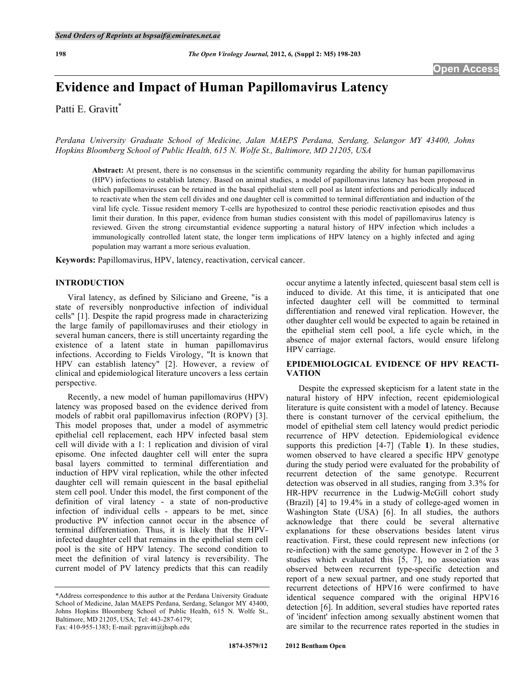# **Evidence and Impact of Human Papillomavirus Latency**

Patti E. Gravitt\*

*Perdana University Graduate School of Medicine, Jalan MAEPS Perdana, Serdang, Selangor MY 43400, Johns Hopkins Bloomberg School of Public Health, 615 N. Wolfe St., Baltimore, MD 21205, USA* 

**Abstract:** At present, there is no consensus in the scientific community regarding the ability for human papillomavirus (HPV) infections to establish latency. Based on animal studies, a model of papillomavirus latency has been proposed in which papillomaviruses can be retained in the basal epithelial stem cell pool as latent infections and periodically induced to reactivate when the stem cell divides and one daughter cell is committed to terminal differentiation and induction of the viral life cycle. Tissue resident memory T-cells are hypothesized to control these periodic reactivation episodes and thus limit their duration. In this paper, evidence from human studies consistent with this model of papillomavirus latency is reviewed. Given the strong circumstantial evidence supporting a natural history of HPV infection which includes a immunologically controlled latent state, the longer term implications of HPV latency on a highly infected and aging population may warrant a more serious evaluation.

**Keywords:** Papillomavirus, HPV, latency, reactivation, cervical cancer.

## **INTRODUCTION**

 Viral latency, as defined by Siliciano and Greene, "is a state of reversibly nonproductive infection of individual cells" [1]. Despite the rapid progress made in characterizing the large family of papillomaviruses and their etiology in several human cancers, there is still uncertainty regarding the existence of a latent state in human papillomavirus infections. According to Fields Virology, "It is known that HPV can establish latency" [2]. However, a review of clinical and epidemiological literature uncovers a less certain perspective.

 Recently, a new model of human papillomavirus (HPV) latency was proposed based on the evidence derived from models of rabbit oral papillomavirus infection (ROPV) [3]. This model proposes that, under a model of asymmetric epithelial cell replacement, each HPV infected basal stem cell will divide with a 1: 1 replication and division of viral episome. One infected daughter cell will enter the supra basal layers committed to terminal differentiation and induction of HPV viral replication, while the other infected daughter cell will remain quiescent in the basal epithelial stem cell pool. Under this model, the first component of the definition of viral latency - a state of non-productive infection of individual cells - appears to be met, since productive PV infection cannot occur in the absence of terminal differentiation. Thus, it is likely that the HPVinfected daughter cell that remains in the epithelial stem cell pool is the site of HPV latency. The second condition to meet the definition of viral latency is reversibility. The current model of PV latency predicts that this can readily

occur anytime a latently infected, quiescent basal stem cell is induced to divide. At this time, it is anticipated that one infected daughter cell will be committed to terminal differentiation and renewed viral replication. However, the other daughter cell would be expected to again be retained in the epithelial stem cell pool, a life cycle which, in the absence of major external factors, would ensure lifelong HPV carriage.

# **EPIDEMIOLOGICAL EVIDENCE OF HPV REACTI-VATION**

 Despite the expressed skepticism for a latent state in the natural history of HPV infection, recent epidemiological literature is quite consistent with a model of latency. Because there is constant turnover of the cervical epithelium, the model of epithelial stem cell latency would predict periodic recurrence of HPV detection. Epidemiological evidence supports this prediction [4-7] (Table **1**). In these studies, women observed to have cleared a specific HPV genotype during the study period were evaluated for the probability of recurrent detection of the same genotype. Recurrent detection was observed in all studies, ranging from 3.3% for HR-HPV recurrence in the Ludwig-McGill cohort study (Brazil) [4] to 19.4% in a study of college-aged women in Washington State (USA) [6]. In all studies, the authors acknowledge that there could be several alternative explanations for these observations besides latent virus reactivation. First, these could represent new infections (or re-infection) with the same genotype. However in 2 of the 3 studies which evaluated this [5, 7], no association was observed between recurrent type-specific detection and report of a new sexual partner, and one study reported that recurrent detections of HPV16 were confirmed to have identical sequence compared with the original HPV16 detection [6]. In addition, several studies have reported rates of 'incident' infection among sexually abstinent women that are similar to the recurrence rates reported in the studies in

<sup>\*</sup>Address correspondence to this author at the Perdana University Graduate School of Medicine, Jalan MAEPS Perdana, Serdang, Selangor MY 43400, Johns Hopkins Bloomberg School of Public Health, 615 N. Wolfe St., Baltimore, MD 21205, USA; Tel: 443-287-6179; Fax: 410-955-1383; E-mail: pgravitt@jhsph.edu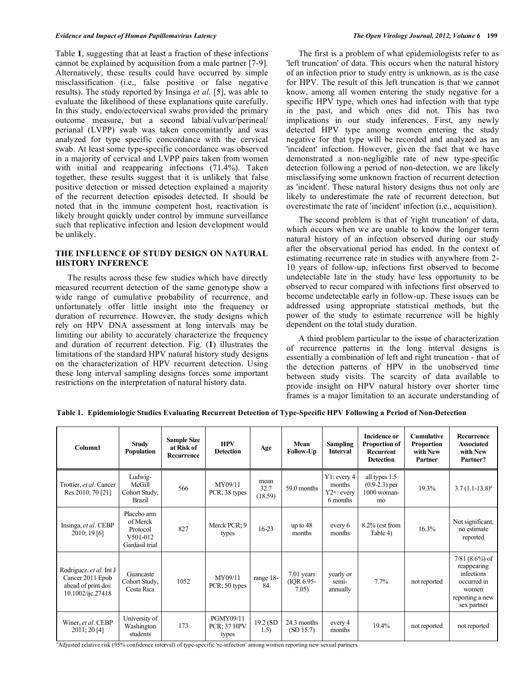Table **1**, suggesting that at least a fraction of these infections cannot be explained by acquisition from a male partner [7-9]. Alternatively, these results could have occurred by simple misclassification (i.e., false positive or false negative results). The study reported by Insinga *et al.* [5], was able to evaluate the likelihood of these explanations quite carefully. In this study, endo/ectocervical swabs provided the primary outcome measure, but a second labial/vulvar/perineal/ perianal (LVPP) swab was taken concomitantly and was analyzed for type specific concordance with the cervical swab. At least some type-specific concordance was observed in a majority of cervical and LVPP pairs taken from women with initial and reappearing infections (71.4%). Taken together, these results suggest that it is unlikely that false positive detection or missed detection explained a majority of the recurrent detection episodes detected. It should be noted that in the immune competent host, reactivation is likely brought quickly under control by immune surveillance such that replicative infection and lesion development would be unlikely.

## **THE INFLUENCE OF STUDY DESIGN ON NATURAL HISTORY INFERENCE**

 The results across these few studies which have directly measured recurrent detection of the same genotype show a wide range of cumulative probability of recurrence, and unfortunately offer little insight into the frequency or duration of recurrence. However, the study designs which rely on HPV DNA assessment at long intervals may be limiting our ability to accurately characterize the frequency and duration of recurrent detection. Fig. (**1**) illustrates the limitations of the standard HPV natural history study designs on the characterization of HPV recurrent detection. Using these long interval sampling designs forces some important restrictions on the interpretation of natural history data.

 The first is a problem of what epidemiologists refer to as 'left truncation' of data. This occurs when the natural history of an infection prior to study entry is unknown, as is the case for HPV. The result of this left truncation is that we cannot know, among all women entering the study negative for a specific HPV type, which ones had infection with that type in the past, and which ones did not. This has two implications in our study inferences. First, any newly detected HPV type among women entering the study negative for that type will be recorded and analyzed as an 'incident' infection. However, given the fact that we have demonstrated a non-negligible rate of new type-specific detection following a period of non-detection, we are likely misclassifying some unknown fraction of recurrent detection as 'incident'. These natural history designs thus not only are likely to underestimate the rate of recurrent detection, but overestimate the rate of 'incident' infection (i.e., acquisition).

 The second problem is that of 'right truncation' of data, which occurs when we are unable to know the longer term natural history of an infection observed during our study after the observational period has ended. In the context of estimating recurrence rate in studies with anywhere from 2- 10 years of follow-up, infections first observed to become undetectable late in the study have less opportunity to be observed to recur compared with infections first observed to become undetectable early in follow-up. These issues can be addressed using appropriate statistical methods, but the power of the study to estimate recurrence will be highly dependent on the total study duration.

 A third problem particular to the issue of characterization of recurrence patterns in the long interval designs is essentially a combination of left and right truncation - that of the detection patterns of HPV in the unobserved time between study visits. The scarcity of data available to provide insight on HPV natural history over shorter time frames is a major limitation to an accurate understanding of

| Column1                                                                                 | <b>Study</b><br>Population                                                     | <b>Sample Size</b><br>at Risk of<br>Recurrence | <b>HPV</b><br><b>Detection</b>    | Age                     | Mean<br>Follow-Up                   | <b>Sampling</b><br><b>Interval</b>                    | <b>Incidence or</b><br>Proportion of<br><b>Recurrent</b><br><b>Detection</b> | <b>Cumulative</b><br><b>Proportion</b><br>with New<br>Partner | Recurrence<br><b>Associated</b><br>with New<br>Partner?                                                 |
|-----------------------------------------------------------------------------------------|--------------------------------------------------------------------------------|------------------------------------------------|-----------------------------------|-------------------------|-------------------------------------|-------------------------------------------------------|------------------------------------------------------------------------------|---------------------------------------------------------------|---------------------------------------------------------------------------------------------------------|
| Trottier, et al. Cancer<br>Res 2010; 70 [21]                                            | Ludwig-<br>McGill<br>Cohort Study,<br>Brazil                                   | 566                                            | MY09/11<br>PCR; 38 types          | mean<br>32.7<br>(18.59) | 59.0 months                         | $Y1$ : every 4<br>months<br>$Y2+$ : every<br>6 months | all types 1.5<br>$(0.9-2.3)$ per<br>1000 woman-<br>mo                        | 19.3%                                                         | $3.7(1.1-13.8)^a$                                                                                       |
| Insinga, et al. CEBP<br>2010; 19[6]                                                     | Placebo arm<br>of Merck<br>Protocol<br>V <sub>501</sub> -012<br>Gardasil trial | 827                                            | Merck PCR: 9<br>types             | $16-23$                 | up to $48$<br>months                | every 6<br>months                                     | $8.2\%$ (est from<br>Table 4)                                                | 16.3%                                                         | Not significant,<br>no estimate<br>reported                                                             |
| Rodriguez, et al. Int J<br>Cancer 2011 Epub<br>ahead of print doi:<br>10.1002/ijc.27418 | Guancaste<br>Cohort Study,<br>Costa Rica                                       | 1052                                           | MY09/11<br>$PCR$ ; 50 types       | range 18-<br>84         | $7.01$ years<br>(IQR 6.95-<br>7.05) | yearly or<br>semi-<br>annually                        | 7.7%                                                                         | not reported                                                  | $7/81$ (8.6%) of<br>reappearing<br>infections<br>occurred in<br>women<br>reporting a new<br>sex partner |
| Winer, et al. CEBP<br>2011; 20[4]                                                       | University of<br>Washington<br>students                                        | 173                                            | PGMY09/11<br>PCR: 37 HPV<br>types | $19.2$ (SD<br>1.5)      | 24.3 months<br>(SD 15.7)            | every 4<br>months                                     | 19.4%                                                                        | not reported                                                  | not reported                                                                                            |

**Table 1. Epidemiologic Studies Evaluating Recurrent Detection of Type-Specific HPV Following a Period of Non-Detection** 

a Adjusted relative risk (95% confidence interval) of type-specific 're-infection' among women reporting new sexual partners.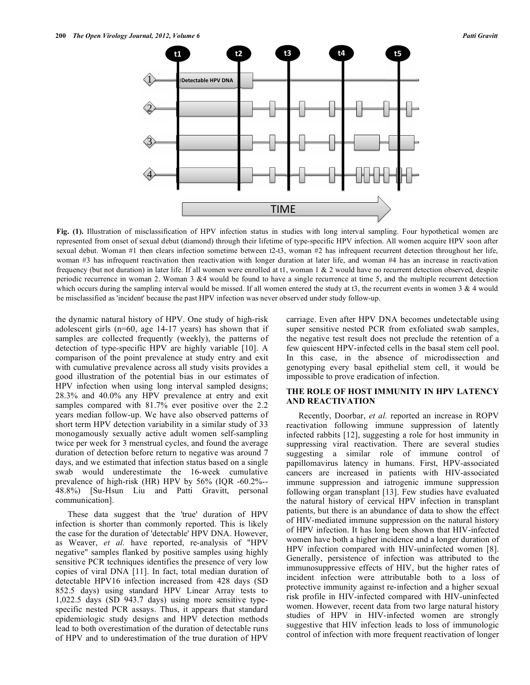

**Fig. (1).** Illustration of misclassification of HPV infection status in studies with long interval sampling. Four hypothetical women are represented from onset of sexual debut (diamond) through their lifetime of type-specific HPV infection. All women acquire HPV soon after sexual debut. Woman #1 then clears infection sometime between t2-t3, woman #2 has infrequent recurrent detection throughout her life, woman #3 has infrequent reactivation then reactivation with longer duration at later life, and woman #4 has an increase in reactivation frequency (but not duration) in later life. If all women were enrolled at t1, woman 1 & 2 would have no recurrent detection observed, despite periodic recurrence in woman 2. Woman 3 &4 would be found to have a single recurrence at time 5, and the multiple recurrent detection which occurs during the sampling interval would be missed. If all women entered the study at t3, the recurrent events in women  $3 \& 4$  would be misclassified as 'incident' because the past HPV infection was never observed under study follow-up.

the dynamic natural history of HPV. One study of high-risk adolescent girls (n=60, age 14-17 years) has shown that if samples are collected frequently (weekly), the patterns of detection of type-specific HPV are highly variable [10]. A comparison of the point prevalence at study entry and exit with cumulative prevalence across all study visits provides a good illustration of the potential bias in our estimates of HPV infection when using long interval sampled designs; 28.3% and 40.0% any HPV prevalence at entry and exit samples compared with 81.7% ever positive over the 2.2 years median follow-up. We have also observed patterns of short term HPV detection variability in a similar study of 33 monogamously sexually active adult women self-sampling twice per week for 3 menstrual cycles, and found the average duration of detection before return to negative was around 7 days, and we estimated that infection status based on a single swab would underestimate the 16-week cumulative prevalence of high-risk (HR) HPV by 56% (IQR -60.2%-- 48.8%) [Su-Hsun Liu and Patti Gravitt, personal communication].

 These data suggest that the 'true' duration of HPV infection is shorter than commonly reported. This is likely the case for the duration of 'detectable' HPV DNA. However, as Weaver, *et al.* have reported, re-analysis of "HPV negative" samples flanked by positive samples using highly sensitive PCR techniques identifies the presence of very low copies of viral DNA [11]. In fact, total median duration of detectable HPV16 infection increased from 428 days (SD 852.5 days) using standard HPV Linear Array tests to 1,022.5 days (SD 943.7 days) using more sensitive typespecific nested PCR assays. Thus, it appears that standard epidemiologic study designs and HPV detection methods lead to both overestimation of the duration of detectable runs of HPV and to underestimation of the true duration of HPV

carriage. Even after HPV DNA becomes undetectable using super sensitive nested PCR from exfoliated swab samples, the negative test result does not preclude the retention of a few quiescent HPV-infected cells in the basal stem cell pool. In this case, in the absence of microdissection and genotyping every basal epithelial stem cell, it would be impossible to prove eradication of infection.

# **THE ROLE OF HOST IMMUNITY IN HPV LATENCY AND REACTIVATION**

 Recently, Doorbar, *et al.* reported an increase in ROPV reactivation following immune suppression of latently infected rabbits [12], suggesting a role for host immunity in suppressing viral reactivation. There are several studies suggesting a similar role of immune control of papillomavirus latency in humans. First, HPV-associated cancers are increased in patients with HIV-associated immune suppression and iatrogenic immune suppression following organ transplant [13]. Few studies have evaluated the natural history of cervical HPV infection in transplant patients, but there is an abundance of data to show the effect of HIV-mediated immune suppression on the natural history of HPV infection. It has long been shown that HIV-infected women have both a higher incidence and a longer duration of HPV infection compared with HIV-uninfected women [8]. Generally, persistence of infection was attributed to the immunosuppressive effects of HIV, but the higher rates of incident infection were attributable both to a loss of protective immunity against re-infection and a higher sexual risk profile in HIV-infected compared with HIV-uninfected women. However, recent data from two large natural history studies of HPV in HIV-infected women are strongly suggestive that HIV infection leads to loss of immunologic control of infection with more frequent reactivation of longer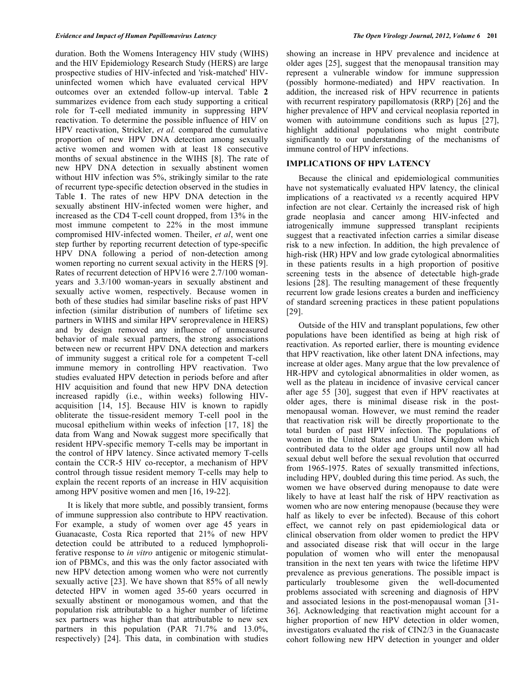duration. Both the Womens Interagency HIV study (WIHS) and the HIV Epidemiology Research Study (HERS) are large prospective studies of HIV-infected and 'risk-matched' HIVuninfected women which have evaluated cervical HPV outcomes over an extended follow-up interval. Table **2** summarizes evidence from each study supporting a critical role for T-cell mediated immunity in suppressing HPV reactivation. To determine the possible influence of HIV on HPV reactivation, Strickler, *et al.* compared the cumulative proportion of new HPV DNA detection among sexually active women and women with at least 18 consecutive months of sexual abstinence in the WIHS [8]. The rate of new HPV DNA detection in sexually abstinent women without HIV infection was 5%, strikingly similar to the rate of recurrent type-specific detection observed in the studies in Table **1**. The rates of new HPV DNA detection in the sexually abstinent HIV-infected women were higher, and increased as the CD4 T-cell count dropped, from 13% in the most immune competent to 22% in the most immune compromised HIV-infected women. Theiler, *et al*, went one step further by reporting recurrent detection of type-specific HPV DNA following a period of non-detection among women reporting no current sexual activity in the HERS [9]. Rates of recurrent detection of HPV16 were 2.7/100 womanyears and 3.3/100 woman-years in sexually abstinent and sexually active women, respectively. Because women in both of these studies had similar baseline risks of past HPV infection (similar distribution of numbers of lifetime sex partners in WIHS and similar HPV seroprevalence in HERS) and by design removed any influence of unmeasured behavior of male sexual partners, the strong associations between new or recurrent HPV DNA detection and markers of immunity suggest a critical role for a competent T-cell immune memory in controlling HPV reactivation. Two studies evaluated HPV detection in periods before and after HIV acquisition and found that new HPV DNA detection increased rapidly (i.e., within weeks) following HIVacquisition [14, 15]. Because HIV is known to rapidly obliterate the tissue-resident memory T-cell pool in the mucosal epithelium within weeks of infection [17, 18] the data from Wang and Nowak suggest more specifically that resident HPV-specific memory T-cells may be important in the control of HPV latency. Since activated memory T-cells contain the CCR-5 HIV co-receptor, a mechanism of HPV control through tissue resident memory T-cells may help to explain the recent reports of an increase in HIV acquisition among HPV positive women and men [16, 19-22].

 It is likely that more subtle, and possibly transient, forms of immune suppression also contribute to HPV reactivation. For example, a study of women over age 45 years in Guanacaste, Costa Rica reported that 21% of new HPV detection could be attributed to a reduced lymphoproliferative response to *in vitro* antigenic or mitogenic stimulation of PBMCs, and this was the only factor associated with new HPV detection among women who were not currently sexually active [23]. We have shown that 85% of all newly detected HPV in women aged 35-60 years occurred in sexually abstinent or monogamous women, and that the population risk attributable to a higher number of lifetime sex partners was higher than that attributable to new sex partners in this population (PAR 71.7% and 13.0%, respectively) [24]. This data, in combination with studies

showing an increase in HPV prevalence and incidence at older ages [25], suggest that the menopausal transition may represent a vulnerable window for immune suppression (possibly hormone-mediated) and HPV reactivation. In addition, the increased risk of HPV recurrence in patients with recurrent respiratory papillomatosis (RRP) [26] and the higher prevalence of HPV and cervical neoplasia reported in women with autoimmune conditions such as lupus [27], highlight additional populations who might contribute significantly to our understanding of the mechanisms of immune control of HPV infections.

## **IMPLICATIONS OF HPV LATENCY**

 Because the clinical and epidemiological communities have not systematically evaluated HPV latency, the clinical implications of a reactivated *vs* a recently acquired HPV infection are not clear. Certainly the increased risk of high grade neoplasia and cancer among HIV-infected and iatrogenically immune suppressed transplant recipients suggest that a reactivated infection carries a similar disease risk to a new infection. In addition, the high prevalence of high-risk (HR) HPV and low grade cytological abnormalities in these patients results in a high proportion of positive screening tests in the absence of detectable high-grade lesions [28]. The resulting management of these frequently recurrent low grade lesions creates a burden and inefficiency of standard screening practices in these patient populations [29].

 Outside of the HIV and transplant populations, few other populations have been identified as being at high risk of reactivation. As reported earlier, there is mounting evidence that HPV reactivation, like other latent DNA infections, may increase at older ages. Many argue that the low prevalence of HR-HPV and cytological abnormalities in older women, as well as the plateau in incidence of invasive cervical cancer after age 55 [30], suggest that even if HPV reactivates at older ages, there is minimal disease risk in the postmenopausal woman. However, we must remind the reader that reactivation risk will be directly proportionate to the total burden of past HPV infection. The populations of women in the United States and United Kingdom which contributed data to the older age groups until now all had sexual debut well before the sexual revolution that occurred from 1965-1975. Rates of sexually transmitted infections, including HPV, doubled during this time period. As such, the women we have observed during menopause to date were likely to have at least half the risk of HPV reactivation as women who are now entering menopause (because they were half as likely to ever be infected). Because of this cohort effect, we cannot rely on past epidemiological data or clinical observation from older women to predict the HPV and associated disease risk that will occur in the large population of women who will enter the menopausal transition in the next ten years with twice the lifetime HPV prevalence as previous generations. The possible impact is particularly troublesome given the well-documented problems associated with screening and diagnosis of HPV and associated lesions in the post-menopausal woman [31- 36]. Acknowledging that reactivation might account for a higher proportion of new HPV detection in older women, investigators evaluated the risk of CIN2/3 in the Guanacaste cohort following new HPV detection in younger and older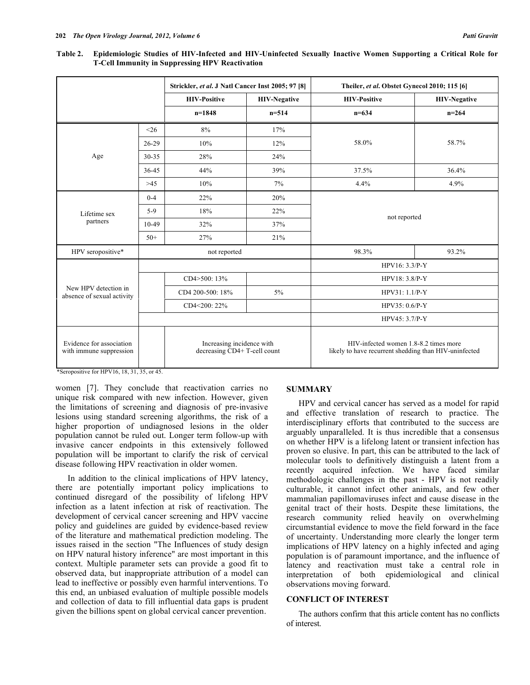**Table 2. Epidemiologic Studies of HIV-Infected and HIV-Uninfected Sexually Inactive Women Supporting a Critical Role for T-Cell Immunity in Suppressing HPV Reactivation** 

|                                                     |           | Strickler, et al. J Natl Cancer Inst 2005; 97 [8]         |                     | Theiler, et al. Obstet Gynecol 2010; 115 [6]                                                   |                     |  |  |
|-----------------------------------------------------|-----------|-----------------------------------------------------------|---------------------|------------------------------------------------------------------------------------------------|---------------------|--|--|
|                                                     |           | <b>HIV-Positive</b>                                       | <b>HIV-Negative</b> | <b>HIV-Positive</b>                                                                            | <b>HIV-Negative</b> |  |  |
|                                                     |           | $n=1848$                                                  | $n=514$             | $n = 634$                                                                                      | $n = 264$           |  |  |
|                                                     | $<$ 26    | 8%                                                        | 17%                 |                                                                                                |                     |  |  |
|                                                     | 26-29     | 10%                                                       | 12%                 | 58.0%                                                                                          | 58.7%               |  |  |
| Age                                                 | $30 - 35$ | 28%                                                       | 24%                 |                                                                                                |                     |  |  |
|                                                     | 36-45     | 44%                                                       | 39%                 | 37.5%                                                                                          | 36.4%               |  |  |
|                                                     | $>45$     | 10%                                                       | 7%                  | 4.4%                                                                                           | 4.9%                |  |  |
|                                                     | $0 - 4$   | 22%                                                       | 20%                 |                                                                                                |                     |  |  |
| Lifetime sex                                        | $5-9$     | 18%                                                       | 22%                 |                                                                                                |                     |  |  |
| partners                                            | $10-49$   | 32%                                                       | 37%                 | not reported                                                                                   |                     |  |  |
|                                                     | $50+$     | 27%                                                       | 21%                 |                                                                                                |                     |  |  |
| HPV seropositive*                                   |           | not reported                                              |                     | 98.3%                                                                                          | 93.2%               |  |  |
|                                                     |           |                                                           |                     | HPV16: 3.3/P-Y                                                                                 |                     |  |  |
|                                                     |           | CD4>500: 13%                                              |                     | HPV18: 3.8/P-Y                                                                                 |                     |  |  |
| New HPV detection in<br>absence of sexual activity  |           | CD4 200-500: 18%                                          | 5%                  | HPV31: 1.1/P-Y                                                                                 |                     |  |  |
|                                                     |           | CD4<200: 22%                                              |                     | HPV35: 0.6/P-Y                                                                                 |                     |  |  |
|                                                     |           |                                                           |                     | HPV45: 3.7/P-Y                                                                                 |                     |  |  |
| Evidence for association<br>with immune suppression |           | Increasing incidence with<br>decreasing CD4+ T-cell count |                     | HIV-infected women 1.8-8.2 times more<br>likely to have recurrent shedding than HIV-uninfected |                     |  |  |

\*Seropositive for HPV16, 18, 31, 35, or 45.

women [7]. They conclude that reactivation carries no unique risk compared with new infection. However, given the limitations of screening and diagnosis of pre-invasive lesions using standard screening algorithms, the risk of a higher proportion of undiagnosed lesions in the older population cannot be ruled out. Longer term follow-up with invasive cancer endpoints in this extensively followed population will be important to clarify the risk of cervical disease following HPV reactivation in older women.

 In addition to the clinical implications of HPV latency, there are potentially important policy implications to continued disregard of the possibility of lifelong HPV infection as a latent infection at risk of reactivation. The development of cervical cancer screening and HPV vaccine policy and guidelines are guided by evidence-based review of the literature and mathematical prediction modeling. The issues raised in the section "The Influences of study design on HPV natural history inference" are most important in this context. Multiple parameter sets can provide a good fit to observed data, but inappropriate attribution of a model can lead to ineffective or possibly even harmful interventions. To this end, an unbiased evaluation of multiple possible models and collection of data to fill influential data gaps is prudent given the billions spent on global cervical cancer prevention.

### **SUMMARY**

 HPV and cervical cancer has served as a model for rapid and effective translation of research to practice. The interdisciplinary efforts that contributed to the success are arguably unparalleled. It is thus incredible that a consensus on whether HPV is a lifelong latent or transient infection has proven so elusive. In part, this can be attributed to the lack of molecular tools to definitively distinguish a latent from a recently acquired infection. We have faced similar methodologic challenges in the past - HPV is not readily culturable, it cannot infect other animals, and few other mammalian papillomaviruses infect and cause disease in the genital tract of their hosts. Despite these limitations, the research community relied heavily on overwhelming circumstantial evidence to move the field forward in the face of uncertainty. Understanding more clearly the longer term implications of HPV latency on a highly infected and aging population is of paramount importance, and the influence of latency and reactivation must take a central role in interpretation of both epidemiological and clinical observations moving forward.

# **CONFLICT OF INTEREST**

 The authors confirm that this article content has no conflicts of interest.